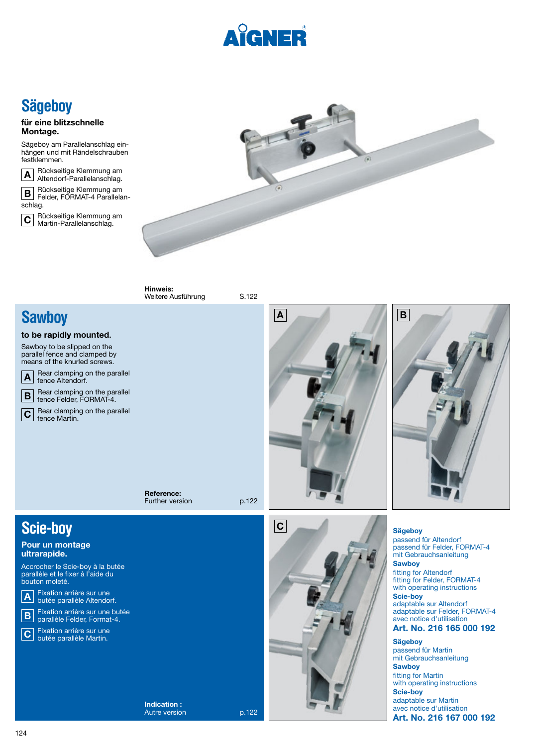

# **Sägeboy**

#### **für eine blitzschnelle Montage.**

Sägeboy am Parallelanschlag einhängen und mit Rändelschrauben festklemmen.



Rückseitige Klemmung am Altendorf-Parallelanschlag.

Rückseitige Klemmung am Felder, FORMAT-4 Parallelanschlag. **B**

 Rückseitige Klemmung am Martin-Parallelanschlag. **C**



**Hinweis:** Weitere Ausführung S.122

### **Sawboy**

#### **to be rapidly mounted.**

Sawboy to be slipped on the parallel fence and clamped by means of the knurled screws.



Rear clamping on the parallel fence Felder, FORMAT-4. **B**

Rear clamping on the parallel fence Martin.  $|\mathbf{C}|$ 

> **Reference:** Further version p.122



**C**



**Sägeboy**  passend für Altendorf passend für Felder, FORMAT-4 mit Gebrauchsanleitung **Sawboy**  fitting for Altendorf fitting for Felder, FORMAT-4

with operating instructions **Scie-boy**  adaptable sur Altendorf adaptable sur Felder, FORMAT-4 avec notice d'utilisation **Art. No. 216 165 000 192**

**Sägeboy**  passend für Martin mit Gebrauchsanleitung **Sawboy** fitting for Martin with operating instructions **Scie-boy**  adaptable sur Martin avec notice d'utilisation **Art. No. 216 167 000 192**

## **Scie-boy**

### **Pour un montage ultrarapide.**

Accrocher le Scie-boy à la butée parallèle et le fixer à l'aide du bouton moleté.

Fixation arrière sur une butée parallèle Altendorf. **A**



Fixation arrière sur une butée parallèle Martin. **C**

> **Indication :** Autre version p.122